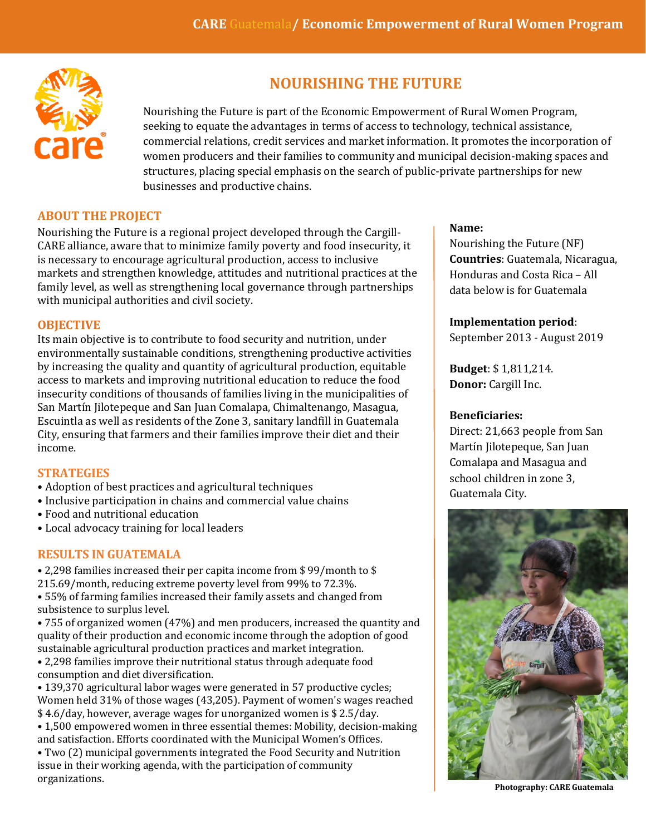

# **NOURISHING THE FUTURE**

Nourishing the Future is part of the Economic Empowerment of Rural Women Program, seeking to equate the advantages in terms of access to technology, technical assistance, commercial relations, credit services and market information. It promotes the incorporation of women producers and their families to community and municipal decision-making spaces and structures, placing special emphasis on the search of public-private partnerships for new businesses and productive chains.

### **ABOUT THE PROJECT**

Nourishing the Future is a regional project developed through the Cargill-CARE alliance, aware that to minimize family poverty and food insecurity, it is necessary to encourage agricultural production, access to inclusive markets and strengthen knowledge, attitudes and nutritional practices at the family level, as well as strengthening local governance through partnerships with municipal authorities and civil society.

#### **OBJECTIVE**

Its main objective is to contribute to food security and nutrition, under environmentally sustainable conditions, strengthening productive activities by increasing the quality and quantity of agricultural production, equitable access to markets and improving nutritional education to reduce the food insecurity conditions of thousands of families living in the municipalities of San Martín Jilotepeque and San Juan Comalapa, Chimaltenango, Masagua, Escuintla as well as residents of the Zone 3, sanitary landfill in Guatemala City, ensuring that farmers and their families improve their diet and their income.

#### **STRATEGIES**

organizations.

- Adoption of best practices and agricultural techniques
- Inclusive participation in chains and commercial value chains
- Food and nutritional education
- Local advocacy training for local leaders

#### **RESULTS IN GUATEMALA**

• 2,298 families increased their per capita income from \$ 99/month to \$ 215.69/month, reducing extreme poverty level from 99% to 72.3%. • 55% of farming families increased their family assets and changed from

subsistence to surplus level.

• 755 of organized women (47%) and men producers, increased the quantity and quality of their production and economic income through the adoption of good sustainable agricultural production practices and market integration. • 2,298 families improve their nutritional status through adequate food consumption and diet diversification.

• 139,370 agricultural labor wages were generated in 57 productive cycles; Women held 31% of those wages (43,205). Payment of women's wages reached \$ 4.6/day, however, average wages for unorganized women is \$ 2.5/day.

• 1,500 empowered women in three essential themes: Mobility, decision-making and satisfaction. Efforts coordinated with the Municipal Women's Offices. • Two (2) municipal governments integrated the Food Security and Nutrition issue in their working agenda, with the participation of community

#### **Name:**

Nourishing the Future (NF) **Countries**: Guatemala, Nicaragua, Honduras and Costa Rica – All data below is for Guatemala

#### **Implementation period**:

September 2013 - August 2019

**Budget**: \$ 1,811,214. **Donor:** Cargill Inc.

#### **Beneficiaries:**

Direct: 21,663 people from San Martín Jilotepeque, San Juan Comalapa and Masagua and school children in zone 3, Guatemala City.



**Photography: CARE Guatemala**